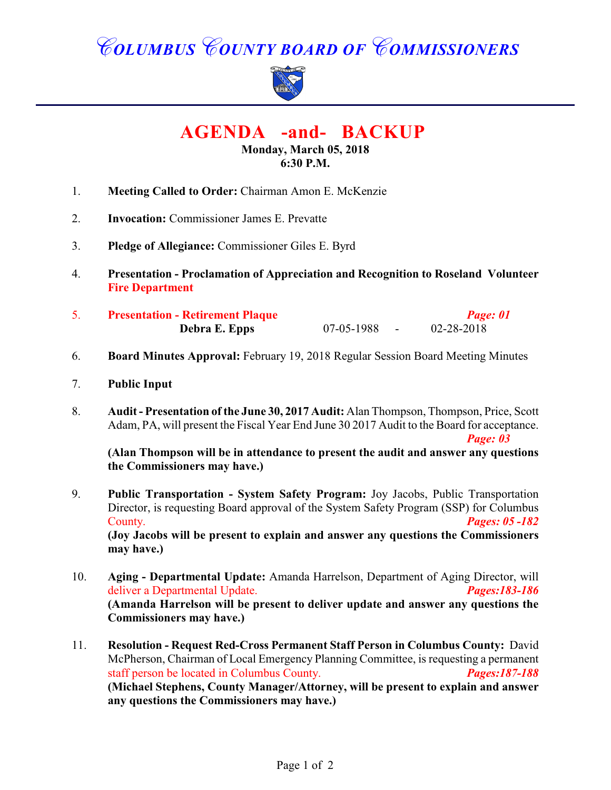# *COLUMBUS COUNTY BOARD OF COMMISSIONERS*



 **AGENDA -and- BACKUP** 

## **Monday, March 05, 2018 6:30 P.M.**

- 1. **Meeting Called to Order:** Chairman Amon E. McKenzie
- 2. **Invocation:** Commissioner James E. Prevatte
- 3. **Pledge of Allegiance:** Commissioner Giles E. Byrd
- 4. **Presentation Proclamation of Appreciation and Recognition to Roseland Volunteer Fire Department**
- 5. **Presentation Retirement Plaque** *Page: 01* **Debra E. Epps** 07-05-1988 - 02-28-2018
- 6. **Board Minutes Approval:** February 19, 2018 Regular Session Board Meeting Minutes
- 7. **Public Input**
- 8. **Audit Presentation of the June 30, 2017 Audit:** Alan Thompson, Thompson, Price, Scott Adam, PA, will present the Fiscal Year End June 30 2017 Audit to the Board for acceptance.

*Page: 03*

**(Alan Thompson will be in attendance to present the audit and answer any questions the Commissioners may have.)**

- 9. **Public Transportation System Safety Program:** Joy Jacobs, Public Transportation Director, is requesting Board approval of the System Safety Program (SSP) for Columbus County. *Pages: 05 -182* **(Joy Jacobs will be present to explain and answer any questions the Commissioners may have.)**
- 10. **Aging Departmental Update:** Amanda Harrelson, Department of Aging Director, will deliver a Departmental Update. *Pages:183-186* **(Amanda Harrelson will be present to deliver update and answer any questions the Commissioners may have.)**
- 11. **Resolution Request Red-Cross Permanent Staff Person in Columbus County:** David McPherson, Chairman of Local Emergency Planning Committee, is requesting a permanent staff person be located in Columbus County. *Pages:187-188* **(Michael Stephens, County Manager/Attorney, will be present to explain and answer any questions the Commissioners may have.)**